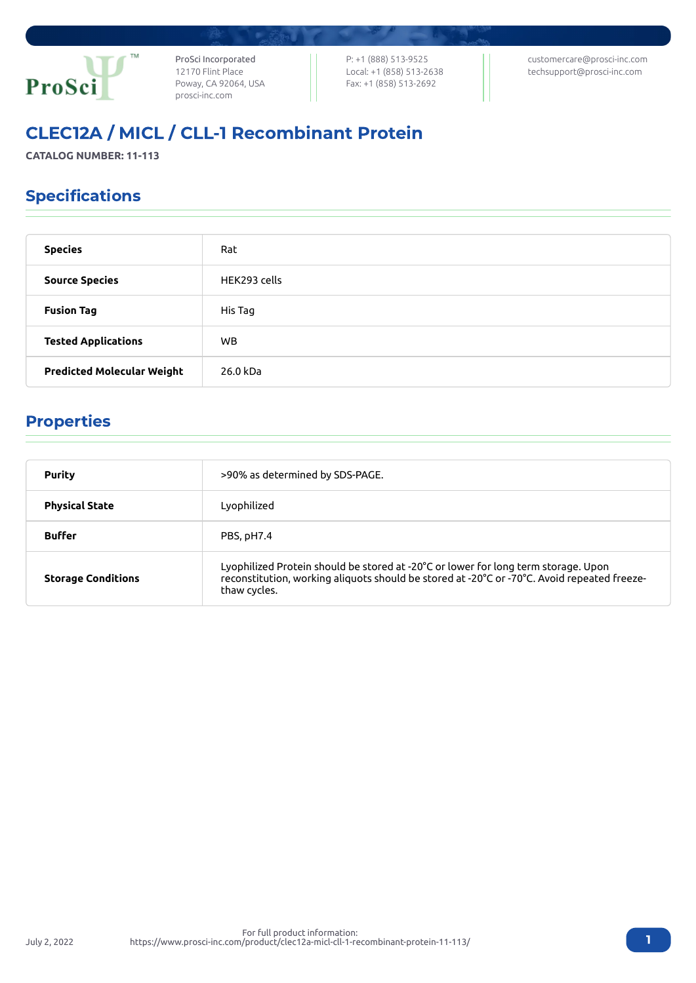

ProSci Incorporated 12170 Flint Place Poway, CA 92064, USA [prosci-inc.com](https://prosci-inc.com/)

P: +1 (888) 513-9525 Local: +1 (858) 513-2638 Fax: +1 (858) 513-2692

[customercare@prosci-inc.com](mailto:customercare@prosci-inc.com) [techsupport@prosci-inc.com](mailto:techsupport@prosci-inc.com)

# CLEC12A / MICL / CLL-1 Recombinant Protein

**CATALOG NUMBER: 11-113**

## Specifications

| <b>Species</b>                    | Rat          |
|-----------------------------------|--------------|
| <b>Source Species</b>             | HEK293 cells |
| <b>Fusion Tag</b>                 | His Tag      |
| <b>Tested Applications</b>        | <b>WB</b>    |
| <b>Predicted Molecular Weight</b> | 26.0 kDa     |

### Properties

July 2, 2022

| <b>Purity</b>             | >90% as determined by SDS-PAGE.                                                                                                                                                                   |
|---------------------------|---------------------------------------------------------------------------------------------------------------------------------------------------------------------------------------------------|
| <b>Physical State</b>     | Lyophilized                                                                                                                                                                                       |
| <b>Buffer</b>             | PBS, pH7.4                                                                                                                                                                                        |
| <b>Storage Conditions</b> | Lyophilized Protein should be stored at -20°C or lower for long term storage. Upon<br>reconstitution, working aliquots should be stored at -20°C or -70°C. Avoid repeated freeze-<br>thaw cycles. |